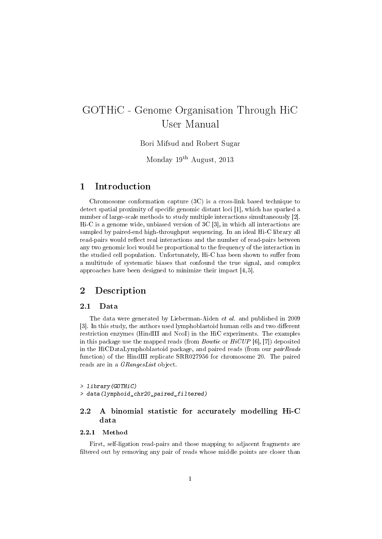# GOTHiC - Genome Organisation Through HiC User Manual

Bori Mifsud and Robert Sugar

Monday 19th August, 2013

# 1 Introduction

Chromosome conformation capture (3C) is a cross-link based technique to detect spatial proximity of specific genomic distant loci  $[1]$ , which has sparked a number of large-scale methods to study multiple interactions simultaneously [2]. Hi-C is a genome wide, unbiased version of 3C [3], in which all interactions are sampled by paired-end high-throughput sequencing. In an ideal Hi-C library all read-pairs would reflect real interactions and the number of read-pairs between any two genomic loci would be proportional to the frequency of the interaction in the studied cell population. Unfortunately, Hi-C has been shown to suffer from a multitude of systematic biases that confound the true signal, and complex approaches have been designed to minimize their impact [4, 5].

# 2 Description

# 2.1 Data

The data were generated by Lieberman-Aiden et al. and published in 2009 [3]. In this study, the authors used lymphoblastoid human cells and two different restriction enzymes (HindIII and NcoI) in the HiC experiments. The examples in this package use the mapped reads (from *Bowtie* or  $HiCUP$  [6], [7]) deposited in the HiCDataLymphoblastoid package, and paired reads (from our pairReads function) of the HindIII replicate SRR027956 for chromosome 20. The paired reads are in a GRangesList object.

> library(GOTHiC)

> data(lymphoid\_chr20\_paired\_filtered)

# 2.2 A binomial statistic for accurately modelling Hi-C data

# 2.2.1 Method

First, self-ligation read-pairs and those mapping to adjacent fragments are filtered out by removing any pair of reads whose middle points are closer than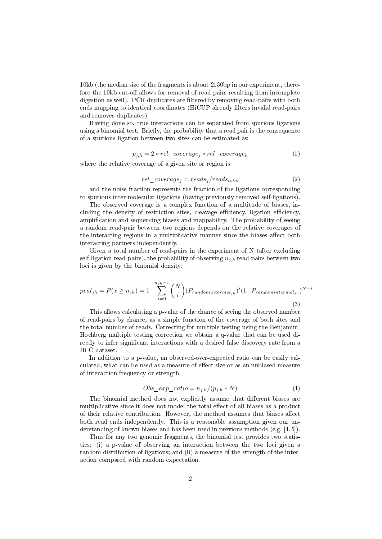10kb (the median size of the fragments is about 2130bp in our experiment, therefore the 10kb cut-off allows for removal of read pairs resulting from incomplete digestion as well). PCR duplicates are filtered by removing read-pairs with both ends mapping to identical coordinates (HiCUP already filters invalid read-pairs and removes duplicates).

Having done so, true interactions can be separated from spurious ligations using a binomial test. Briefly, the probability that a read pair is the consequence of a spurious ligation between two sites can be estimated as:

$$
p_{j,h} = 2 * rel\_coverage_j * rel\_coverage_h
$$
 (1)

where the relative coverage of a given site or region is

$$
rel\_coverage_j=reads_j/reads_{total}
$$
 (2)

and the noise fraction represents the fraction of the ligations corresponding to spurious inter-molecular ligations (having previously removed self-ligations).

The observed coverage is a complex function of a multitude of biases, including the density of restriction sites, cleavage efficiency, ligation efficiency, amplication and sequencing biases and mappability. The probability of seeing a random read-pair between two regions depends on the relative coverages of the interacting regions in a multiplicative manner since the biases affect both interacting partners independently.

Given a total number of read-pairs in the experiment of N (after excluding self-ligation read-pairs), the probability of observing  $n_{j,h}$  read-pairs between two loci is given by the binomial density:

$$
pval_{jh} = P(x \ge n_{jh}) = 1 - \sum_{i=0}^{n_{jh}-1} {N \choose i} (P_{random interval_{jh}})^{i} (1 - P_{random interval_{jh}})^{N-i}
$$
\n(3)

This allows calculating a p-value of the chance of seeing the observed number of read-pairs by chance, as a simple function of the coverage of both sites and the total number of reads. Correcting for multiple testing using the Benjamini-Hochberg multiple testing correction we obtain a q-value that can be used directly to infer significant interactions with a desired false discovery rate from a Hi-C dataset.

In addition to a p-value, an observed-over-expected ratio can be easily calculated, what can be used as a measure of effect size or as an unbiased measure of interaction frequency or strength.

$$
Obs\_exp\_ratio = n_{j,h}/(p_{j,h} * N)
$$
\n<sup>(4)</sup>

The binomial method does not explicitly assume that different biases are multiplicative since it does not model the total effect of all biases as a product of their relative contribution. However, the method assumes that biases affect both read ends independently. This is a reasonable assumption given our understanding of known biases and has been used in previous methods (e.g. [4,5]).

Thus for any two genomic fragments, the binomial test provides two statistics: (i) a p-value of observing an interaction between the two loci given a random distribution of ligations; and (ii) a measure of the strength of the interaction compared with random expectation.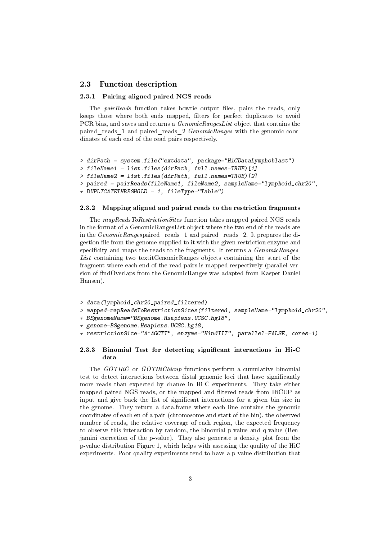#### 2.3 Function description

#### 2.3.1 Pairing aligned paired NGS reads

The *pairReads* function takes bowtie output files, pairs the reads, only keeps those where both ends mapped, filters for perfect duplicates to avoid PCR bias, and saves and returns a *GenomicRangesList* object that contains the paired reads 1 and paired reads 2 GenomicRanges with the genomic coordinates of each end of the read pairs respectively.

```
> dirPath = system.file("extdata", package="HiCDataLymphoblast")
> fileName1 = list.files(dirPath, full.names=TRUE)[1]
> fileName2 = list.files(dirPath, full.names=TRUE)[2]
> paired = pairReads(fileName1, fileName2, sampleName="lymphoid_chr20",
+ DUPLICATETHRESHOLD = 1, fileType="Table")
```
## 2.3.2 Mapping aligned and paired reads to the restriction fragments

The mapReadsToRestrictionSites function takes mapped paired NGS reads in the format of a GenomicRangesList object where the two end of the reads are in the *GenomicRanges* paired reads 1 and paired reads 2. It prepares the digestion file from the genome supplied to it with the given restriction enzyme and specificity and maps the reads to the fragments. It returns a  $GenomicRanges$ -List containing two textitGenomicRanges objects containing the start of the fragment where each end of the read pairs is mapped respectively (parallel version of findOverlaps from the GenomicRanges was adapted from Kasper Daniel Hansen).

- > data(lymphoid\_chr20\_paired\_filtered)
- > mapped=mapReadsToRestrictionSites(filtered, sampleName="lymphoid\_chr20",
- + BSgenomeName="BSgenome.Hsapiens.UCSC.hg18",
- + genome=BSgenome.Hsapiens.UCSC.hg18,
- + restrictionSite="A^AGCTT", enzyme="HindIII", parallel=FALSE, cores=1)

#### 2.3.3 Binomial Test for detecting significant interactions in Hi-C data

The GOTHiC or GOTHiChicup functions perform a cumulative binomial test to detect interactions between distal genomic loci that have signicantly more reads than expected by chance in Hi-C experiments. They take either mapped paired NGS reads, or the mapped and filtered reads from HiCUP as input and give back the list of signicant interactions for a given bin size in the genome. They return a data.frame where each line contains the genomic coordinates of each en of a pair (chromosome and start of the bin), the observed number of reads, the relative coverage of each region, the expected frequency to observe this interaction by random, the binomial p-value and q-value (Benjamini correction of the p-value). They also generate a density plot from the p-value distribution Figure 1, which helps with assessing the quality of the HiC experiments. Poor quality experiments tend to have a p-value distribution that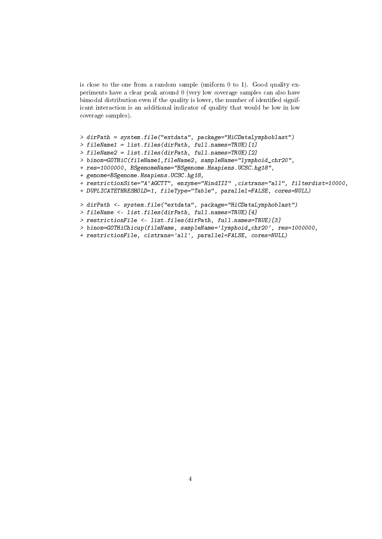is close to the one from a random sample (uniform 0 to 1). Good quality experiments have a clear peak around 0 (very low coverage samples can also have bimodal distribution even if the quality is lower, the number of identified significant interaction is an additional indicator of quality that would be low in low coverage samples).

- > dirPath = system.file("extdata", package="HiCDataLymphoblast")
- > fileName1 = list.files(dirPath, full.names=TRUE)[1]
- > fileName2 = list.files(dirPath, full.names=TRUE)[2]

> binom=GOTHiC(fileName1,fileName2, sampleName="lymphoid\_chr20",

- + res=1000000, BSgenomeName="BSgenome.Hsapiens.UCSC.hg18",
- + genome=BSgenome.Hsapiens.UCSC.hg18,
- + restrictionSite="A^AGCTT", enzyme="HindIII" ,cistrans="all", filterdist=10000,
- + DUPLICATETHRESHOLD=1, fileType="Table", parallel=FALSE, cores=NULL)
- > dirPath <- system.file("extdata", package="HiCDataLymphoblast")
- > fileName <- list.files(dirPath, full.names=TRUE)[4]
- > restrictionFile <- list.files(dirPath, full.names=TRUE)[3]
- > binom=GOTHiChicup(fileName, sampleName='lymphoid\_chr20', res=1000000,
- + restrictionFile, cistrans='all', parallel=FALSE, cores=NULL)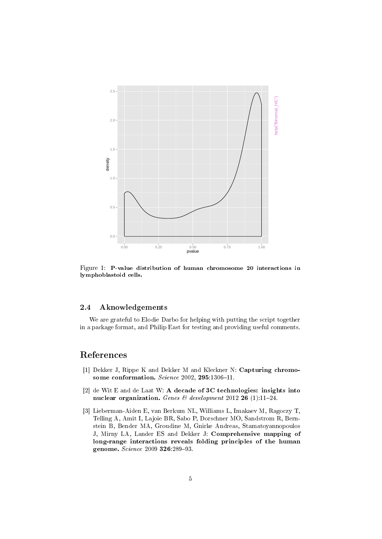

Figure 1: P-value distribution of human chromosome 20 interactions in lymphoblastoid cells.

# 2.4 Aknowledgements

We are grateful to Elodie Darbo for helping with putting the script together in a package format, and Philip East for testing and providing useful comments.

# References

- [1] Dekker J, Rippe K and Dekker M and Kleckner N: Capturing chromosome conformation. Science 2002,  $295:1306-11$ .
- [2] de Wit E and de Laat W: A decade of 3C technologies: insights into nuclear organization. Genes & development 2012 26 (1):11-24.
- [3] Lieberman-Aiden E, van Berkum NL, Williams L, Imakaev M, Ragoczy T, Telling A, Amit I, Lajoie BR, Sabo P, Dorschner MO, Sandstrom R, Bernstein B, Bender MA, Groudine M, Gnirke Andreas, Stamatoyannopoulos J, Mirny LA, Lander ES and Dekker J: Comprehensive mapping of long-range interactions reveals folding principles of the human genome. Science 2009 326:289-93.